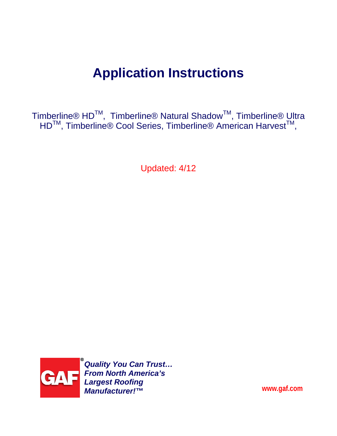# **Application Instructions**

Timberline® HD<sup>™</sup>, Timberline® Natural Shadow<sup>™</sup>, Timberline® Ultra HD<sup>™</sup>, Timberline® Cool Series, Timberline® American Harvest<sup>™</sup>,

Updated: 4/12



*Quality You Can Trust… From North America's Largest Roofing Manufacturer!™* 

**www.gaf.com**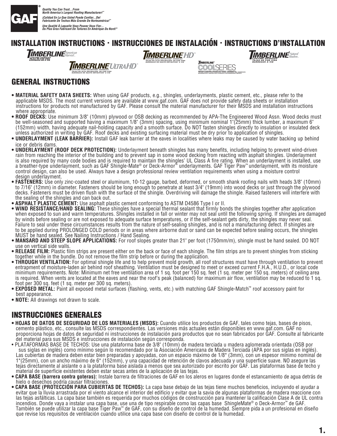

*Quality You Can Trust…From North America's Largest Roofing Manufacturer!™ ¡Calidad En La Que Usted Puede Confiar...Del Fabricante De Techos Más Grande De Norteamérica!™* Une Qualité A Laquelle Vous Pouvez Vous Fier...<br>Du Plus Gros Fabricant De Toitures En Amérique Du Nord!"

## **INSTALLATION INSTRUCTIONS · INSTRUCCIONES DE INSTALACIÓN · INSTRUCTIONS D'INSTALLATION**

**TIMBERLINE** American TIME SHINGLE:<br>15 DE POR VIDA<br>DEAIIY DE Á VIE

*IIMBERLINEULTRAHD LIFETIME HIGH DEFINITION*® *SHINGLES TEJAS DE ALTA DEFINICIÓN*® *DE POR VIDA*

*BARDEAUX DE HAUTE DÉFINITION*® *À VIE* 

*TIMBERLINE HD TEJAS DE ALTA DEFINICIÓN*® *DE POR VIDA BARDEAUX DE HAUTE DÉFINITION*® *À VIE LIFETIME HIGH DEFINITION*® *SHINGLES*

*TEJAS DE POR VIDA BARDEAUX À VIE LIFETIME SHINGLES*

*ENERGY-SAVING ARCHITECTURAL SHINGLES TEJAS ARQUITECTÓNICAS PARA AHORRO DE ENERGÍA BARDEAUX ARCHITECTURAUX ÉCONERGÉTIQUES* 

**TIMBERLINE** 

**POOL** 

### **GENERAL INSTRUCTIONS**

- **t."5&3\*"-4"'&5:%"5"4)&&54** When using GAF products, e.g., shingles, underlayments, plastic cement, etc., please refer to the applicable MSDS. The most current versions are available at www.gaf.com. GAF does not provide safety data sheets or installation instructions for products not manufactured by GAF. Please consult the material manufacturer for their MSDS and installation instructions where appropriate.
- $\bullet$  **ROOF DECKS:** Use minimum 3/8" (10mm) plywood or OSB decking as recommended by APA-The Engineered Wood Assn. Wood decks must be well-seasoned and supported having a maximum 1/8" (3mm) spacing, using minimum nominal 1"(25mm) thick lumber, a maximum 6" (152mm) width, having adequate nail-holding capacity and a smooth surface. Do NOT fasten shingles directly to insulation or insulated deck unless authorized in writing by GAF. Roof decks and existing surfacing material must be dry prior to application of shingles.
- $\bullet$  UNDERLAYMENT (LEAK BARRIER): Install GAF leak barrier at the eaves in localities where leaks may be caused by water backing up behind ice or debris dams.
- $\bullet$  UNDERLAYMENT (ROOF DECK PROTECTION): Underlayment beneath shingles has many benefits, including helping to prevent wind-driven rain from reaching the interior of the building and to prevent sap in some wood decking from reacting with asphalt shingles. Underlayment is also required by many code bodies and is required to maintain the shingles' UL Class A fire rating. When an underlayment is installed, use a breather-type underlayment, such as GAF Shingle-Mate® or Deck-Armor™ underlayments. GAF Tiger Paw™ underlayment, with its moisture control design, can also be used. Always have a design professional review ventilation requirements when using a moisture control design underlayment.
- FASTENERS: Use only zinc-coated steel or aluminum, 10-12 gauge, barbed, deformed, or smooth shank roofing nails with heads 3/8" (10mm) to 7/16" (12mm) in diameter. Fasteners should be long enough to penetrate at least 3/4" (19mm) into wood decks or just through the plywood decks. Fasteners must be driven flush with the surface of the shingle. Overdriving will damage the shingle. Raised fasteners will interfere with the sealing of the shingles and can back out.
- **ASPHALT PLASTIC CEMENT:** Use asphalt plastic cement conforming to ASTM D4586 Type I or II.
- WIND RESISTANCE/HAND SEALING: These shingles have a special thermal sealant that firmly bonds the shingles together after application when exposed to sun and warm temperatures. Shingles installed in fall or winter may not seal until the following spring. If shingles are damaged by winds before sealing or are not exposed to adequate surface temperatures, or if the self-sealant gets dirty, the shingles may never seal. Failure to seal under these circumstances results from the nature of self-sealing shingles, and is not a manufacturing defect. If shingles are to be applied during PROLONGED COLD periods or in areas where airborne dust or sand can be expected before sealing occurs, the shingles MUST be hand sealed. See Nailing Instructions / Hand Sealing.
- $\bullet$  MANSARD AND STEEP SLOPE APPLICATIONS: For roof slopes greater than 21" per foot (1750mm/m), shingle must be hand sealed. DO NOT use on vertical side walls.
- **RELEASE FILM:** Plastic film strips are present either on the back or face of each shingle. The film strips are to prevent shingles from sticking together while in the bundle. Do not remove the film strip before or during the application.
- THROUGH VENTILATION: For optimal shingle life and to help prevent mold growth, all roof structures must have through ventilation to prevent entrapment of moisture-laden air behind roof sheathing. Ventilation must be designed to meet or exceed current F.H.A., H.U.D., or local code minimum requirements. Note: Minimum net free ventilation area of 1 sq. foot per 150 sq. feet (1 sq. meter per 150 sq. meters) of ceiling area is required. When vents are located at the eaves and near the roof's peak (balanced) for maximum air flow, ventilation may be reduced to 1 sq. foot per 300 sq. feet (1 sq. meter per 300 sq. meters).
- **EXPOSED METAL:** Paint all exposed metal surfaces (flashing, vents, etc.) with matching GAF Shingle-Match™ roof accessory paint for best appearance.
- **NOTE:** All drawings not drawn to scale.

### **INSTRUCCIONES GENERALES**

- $\bullet$  **HOJAS DE DATOS DE SEGURIDAD DE LOS MATERIALES (MSDS):** Cuando utilice los productos de GAF, tales como tejas, bases de pisos, cemento plástico, etc., consulte las MSDS correspondientes. Las versiones más actuales están disponibles en www.gaf.com. GAF no proporciona hojas de datos de seguridad ni instrucciones de instalación para productos que no sean fabricados por GAF. Consulte al fabricante del material para sus MSDS e instrucciones de instalación según corresponda.
- $\bullet$  PLATAFORMAS BASE DE TECHOS: Use una plataforma base de 3/8" (10mm) de madera terciada u madera aglomerada orientada (OSB por sus siglas en inglés) como mínimo según lo recomendado por la Asociación Americana de Madera Terciada (APA por sus siglas en inglés). Las cubiertas de madera deben estar bien preparadas y apoyadas, con un espacio máximo de 1/8" (3mm), con un espesor mínimo nominal de 1"(25mm), con un ancho máximo de 6" (152mm), y una capacidad de retención de clavos adecuada y una superficie suave. NO asegure las tejas directamente al aislante o a la plataforma base aislada a menos que sea autorizado por escrito por GAF. Las plataformas base de techo y material de superficie existentes deben estar secas antes de la aplicación de las tejas.
- $\bullet$  CAPA BASE (barrera contra goteras): Instale barrera de filtraciones de GAF en los aleros en lugares donde el estancamiento de agua detrás de hielo o desechos podría causar filtraciones.
- $\bullet$  CAPA BASE (PROTECCION PARA CUBIERTAS DE TECHOS): La capa base debajo de las tejas tiene muchos beneficios, incluyendo el ayudar a evitar que la lluvia arrastrada por el viento alcance el interior del edificio y evitar que la savia de algunas plataformas de madera reaccione con las tejas asfálticas. La capa base también es requerida por muchos códigos de construcción para mantener la calificación Clase A de UL contra incendios. Donde vaya a instalar una capa base, use una de tipo respirable como las capas base ShingleMate® o Deck-Armor™ de GAF. También se puede utilizar la capa base Tiger Paw™ de GAF, con su diseño de control de la humedad. Siempre pida a un profesional en diseño que revise los requisitos de ventilación cuando utilice una capa base con diseño de control de la humedad.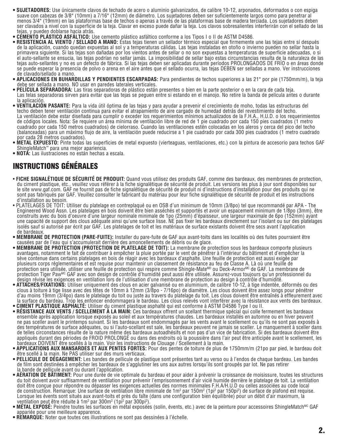- **t46+&5"%03&4** Use únicamente clavos de techado de acero o aluminio galvanizados, de calibre 10-12, arponados, deformados o con espiga suave con cabezas de 3/8" (10mm) a 7/16" (12mm) de diámetro. Los sujetadores deben ser suficientemente largos como para penetrar al menos 3/4" (19mm) en las plataformas base de techos o apenas a través de las plataformas base de madera terciada. Los sujetadores deben ser clavados a nivel con la superficie de la teja. Clavar en exceso puede dañar la teja. Los clavos sobresalientes interferirán con el sellado de las tejas, y pueden doblarse hacia atrás.
- **CÉMENTO PLÁSTICO ASFÁLTICO:** Use cemento plástico asfáltico conforme a los Tipos I o II de ASTM D4586.
- **\* RESISTENCIA AL VIENTO / SELLADO A MANO:** Éstas tejas tienen un sellador térmico especial que firmemente une las tejas entre sí después<br>de la aplicación, cuando quedan expuestas al sol y a temperaturas cálidas. Las tejas primavera siguiente. Si las tejas son dañadas por los vientos antes de sellar o no son expuestas a temperaturas de superficie adecuadas, o si el auto-sellante se ensucia, las tejas podrían no sellar jamás. La imposibilidad de sellar bajo estas circunstancias resulta de la naturaleza de las tejas auto-sellantes y no es un defecto de fábrica. Si las tejas deben ser aplicadas durante períodos PROLONGADOS DE FRÍO o en áreas donde se puede esperar la presencia de polvo o arena en el aire antes que el sellado ocurra, las tejas DEBEN ser selladas a mano. Ver instrucciones de clavado/sellado a mano.
- APLICACIONES EN BUHARDILLAS Y PENDIENTES ESCARPADAS: Para pendientes de techos superiores a las 21" por pie (1750mm/m), la teja debe ser sellada a mano. NO usar en paredes laterales verticales.
- **PELÍCULA SEPARADORA:** Las tiras separadoras de plástico están presentes o bien en la parte posterior o en la cara de cada teja. Las telas separadoras sirven para evitar que las tejas se peguen entre si estando en el manojo. No retire la banda de película antes o durante la aplicación.
- **VENTILACION PASANTE:** Para la vida útil óptima de las tejas y para ayudar a prevenir el crecimiento de moho, todas las estructuras del techo deben tener ventilación continua para evitar el atrapamiento de aire cargado de humedad detrás del revestimiento del techo. La ventilación debe estar diseñada para cumplir o exceder los requerimientos mínimos actualizados de la F.H.A., H.U.D. o los requerimientos de códigos locales. Nota: Se requiere un área mínima de ventilación libre de red de 1 pie cuadrado por cada 150 pies cuadrados (1 metro cuadrado por cada 150 metros cuadrados) de cielorraso. Cuando las ventilaciones estén colocadas en los aleros y cerca del pico del techo (balanceadas) para un máximo flujo de aire, la ventilación puede reducirse a 1 pie cuadrado por cada 300 pies cuadrados (1 metro cuadrado por cada 28 metros cuadrados).
- **METAL EXPUESTO:** Pinte todas las superficies de metal expuesto (vierteaguas, ventilaciones, etc.) con la pintura de accesorio para techos GAF ShingleMatch™ para una mejor apariencia.
- **t/05"** Las ilustraciones no están hechas a escala.

### **INSTRUCTIONS GÉNÉRALES**

- t**FICHE SIGNALÉTIQUE DE SÉCURITÉ DE PRODUIT:** Quand vous utilisez des produits GAF, comme des bardeaux, des membranes de protection, du ciment plastique, etc., veuillez vous référer à la fiche signalétique de sécurité de produit. Les versions les plus à jour sont disponibles sur le site www.gaf.com. GAF ne fournit pas de fiche signalétique de sécurité de produit ni d'instructions d'installation pour des produits qui ne sont pas fabriqués par GAF. Veuillez consulter le fabricant du matériau pour leur fiche signalétique de sécurité de produit et les instructions d'installation au besoin.
- $\bullet$  PLATELAGES DE TOIT: Utiliser du platelage en contreplaqué ou en OSB d'un minimum de 10mm (3/8po) tel que recommandé par APA The Engineered Wood Assn. Les platelages en bois doivent être bien asséchés et supportés et avoir un espacement minimum de 1/8po (3mm), être construits avec du bois d'oeuvre d'une largeur nominale minimale de 1po (25mm) d'épaisseur, une largeur maximale de 6po (152mm) ayant une capacité de support des clous adéquate ainsi qu'une surface lisse. NE pas fixér les bardeaux directement sur l'isolant ou sur des platelages isolés sauf si autorisé par écrit par GAF. Les platelages de toit et les matériaux de surface existants doivent être secs avant l'application de bardeaux.
- $\bullet$  MEMBRANE DE PROTECTION (PARE-FUITE): Installer du pare-fuite de GAF aux avant-toits dans les localités où des fuites pourraient être causées par de l'eau qui s'accumulerait derrière des amoncellements de débris ou de glace.
- $\bullet$  MEMBRANE DE PROTECTION (PROTECTION DE PLATELAGE DE TOIT): La membrane de protection sous les bardeaux comporte plusieurs avantages, notamment le fait de contribuer à empêcher la pluie portée par le vent de pénétrer à l'intérieur du bâtiment et d'empêcher la<br>sève contenue dans certains platelages en bois de réagir avec les bardeaux d'asphalte plusieurs corps réglementaires et est requise pour maintenir un classement de résistance au feu de Classe A. Là où une feuille de protection sera utilisée, utiliser une feuille de protection qui respire comme Shingle-Mate<sup>MD</sup> ou Deck-Armor<sup>Mc</sup> de GAF. La membrane de protection Tiger Paw<sup>Mc</sup> GAF avec son design de contrôle d'humidité peut aussi être utilisée. Assurez-vous toujours qu'un professionnel du design révise les exigences en ventilation lors de l'utilisation d'une membrane de protection au design à contrôle d'humidité.
- **t"55"\$)&4'\*9"5\*0/4** Utiliser uniquement des clous en acier galvanisé ou en aluminium, de calibre 10-12, à tige indentée, déformés ou des clous à toiture à tige lisse avec des têtes de 10mm à 12mm (3/8po - 7/16po) de diamètre. Les clous doivent être assez longs pour pénétrer d'au moins 19mm (3/4po) dans le platelage du toit ou juste au travers du platelage du toit. Les clous doivent être entraînés à effleurement avec la surface du bardeau. Trop les enfoncer endommagera le bardeau. Les clous relevés vont interférer avec la résistance aux vents des bardeaux. **• CIMENT PLASTIQUE ASPHALTÉ:** Utiliser du ciment plastique asphalté qui est conforme à ASTM D4586 Type I ou II.
- **RÉSISTANCE AUX VENTS / SCELLEMENT À LA MAIN:** Ces bardeaux offrent un scellant thermique spécial qui colle fermement les bardeaux ensemble après application lorsque exposés au soleil et aux températures chaudes. Les bardeaux installés en automne ou en hiver peuvent ne pas sceller avant le printemps suivant. Si les bardeaux sont endommagés par les vents avant le scellement ou qu'ils ne sont pas exposés à des températures de surface adéquates, ou si l'auto-scellant est sale, les bardeaux peuvent ne jamais se sceller. Le manquement à sceller dans de telles circonstances résulte de la nature même des bardeaux autoadhésifs et non pas d'un vice de fabrication. Si des bardeaux doivent être appliqués durant des périodes de FROID PROLONGÉ ou dans des endroits où la poussière dans l'air peut être anticipée avant le scellement, les bardeaux DOIVENT être scellés à la main. Voir les instructions de Clouage / Scellement à la main.
- $\bullet$  APPLICATIONS AUX MANSARDES ET AUX PENTES FORTES: Pour des pentes de toiture de plus de 1750mm/m (21po par pied, le bardeau doit être scellé à la main. Ne PAS utiliser sur des murs verticaux.
- **PELLICULE DE DÉGAGEMENT:** Les bandes de pellicule de plastique sont présentes tant au verso ou à l'endos de chaque bardeau. Les bandes de film sont destinées à empêcher les bardeaux de s'agglutiner les uns aux autres lorsqu'ils sont groupés par lot. Ne pas retirer la bande de pellicule avant ou durant l'application.
- **AÉRATION DE BÂTIMENT:** Pour une durée de vie optimale du bardeau et pour aider à prévenir la croissance de moisissure, toutes les structures du toit doivent avoir suffisamment de ventilation pour prévenir l'emprisonnement d'air vicié humide derrière le platelage de toit. La ventilation doit être conçue pour répondre ou dépasser les exigences actuelles des normes minimales F.H.A/H.U.D ou celles associées au code local de construction. Remarque: Une surface de ventilation libre minimale de 1m<sup>2</sup> par 150m<sup>2</sup> (1pi<sup>2</sup> par 150pi<sup>2</sup>) de surface de plafond est requise. Lorsque les évents sont situés aux avant-toits et près du faîte (dans une configuration bien équilibrée) pour un débit d'air maximum, la par 300m2 (1pi2 par 300pi2 ).
- **MÉTAL EXPOSÉ:** Peindre toutes les surfaces en métal exposées (solin, évents, etc.) avec de la peinture pour accessoires ShingleMatch<sup>MC</sup> GAF appariée pour une meilleure apparence.
- **\* REMARQUE:** Noter que toutes ces illustrations ne sont pas dessinées à l'échelle.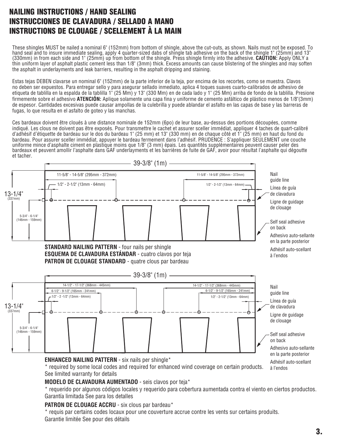### **NAILING INSTRUCTIONS / HAND SEALING INSTRUCCIONES DE CLAVADURA / SELLADO A MANO INSTRUCTIONS DE CLOUAGE / SCELLEMENT À LA MAIN**

 These shingles MUST be nailed a nominal 6" (152mm) from bottom of shingle, above the cut-outs, as shown. Nails must not be exposed. To hand seal and to insure immediate sealing, apply 4 quarter-sized dabs of shingle tab adhesive on the back of the shingle 1" (25mm) and 13" (330mm) in from each side and 1" (25mm) up from bottom of the shingle. Press shingle firmly into the adhesive. **CAUTION:** Apply ONLY a thin uniform layer of asphalt plastic cement less than 1/8" (3mm) thick. Excess amounts can cause blistering of the shingles and may soften the asphalt in underlayments and leak barriers, resulting in the asphalt dripping and staining.

Estas tejas DEBEN clavarse un nominal 6" (152mm) de la parte inferior de la teja, por encima de los recortes, como se muestra. Clavos no deben ser expuestos. Para entregar sello y para asegurar sellado inmediato, aplica 4 toques suaves cuarto-calibrados de adhesivo de etiqueta de tablilla en la espalda de la tablilla 1" (25 Mm) y 13" (330 Mm) en de cada lado y 1" (25 Mm) arriba de fondo de la tablilla. Presione firmemente sobre el adhesivo **ATENCIÓN:** Aplique solamente una capa fina y uniforme de cemento asfáltico de plástico menos de 1/8"(3mm) de espesor. Cantidades excesivas puede causar ampollas de la culebrilla y puede ablandar el asfalto en las capas de base y las barreras de fugas, lo que resulta en el asfalto de goteo y las manchas.

Ces bardeaux doivent être cloués à une distance nominale de 152mm (6po) de leur base, au-dessus des portions découpées, comme indiqué. Les clous ne doivent pas être exposés. Pour transmettre le cachet et assurer sceller immédiat, appliquer 4 taches de quart-calibré d'adhésif d'étiquette de bardeau sur le dos du bardeau 1" (25 mm) et 13" (330 mm) en de chaque côté et 1" (25 mm) en haut du fond du bardeau. Pour assurer sceller immédiat, appuyer le bardeau fermement dans l'adhésif. PRUDENCE : S'appliquer SEULEMENT une couche uniforme mince d'asphalte ciment en plastique moins que 1/8" (3 mm) épais. Les quantités supplémentaires peuvent causer peler des bardeaux et peuvent amollir l'asphalte dans GAF underlayments et les barrières de fuite de GAF, avoir pour résultat l'asphalte qui dégoutte et tacher.



required by some local codes and required for enhanced wind coverage on certain products. See limited warranty for details

#### **MODELO DE CLAVADURA AUMENTADO** - seis clavos por teja\*

\* requerido por algunos códigos locales y requerido para cobertura aumentada contra el viento en ciertos productos. Garantía limitada See para los detalles

### **PATRON DE CLOUAGE ACCRU** - six clous par bardeau\*

\* requis par certains codes locaux pour une couverture accrue contre les vents sur certains produits. Garantie limitée See pour des détails

à l'endos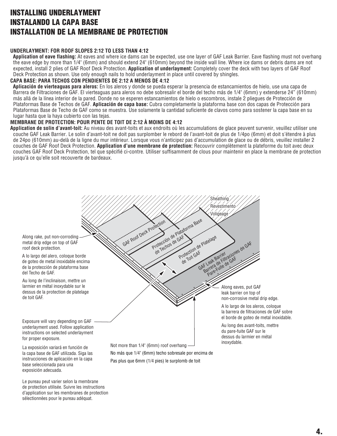### **INSTALLING UNDERLAYMENT INSTALANDO LA CAPA BASE INSTALLATION DE LA MEMBRANE DE PROTECTION**

#### **UNDERLAYMENT: FOR ROOF SLOPES 2:12 TO LESS THAN 4:12**

 **Application of eave flashing:** At eaves and where ice dams can be expected, use one layer of GAF Leak Barrier. Eave flashing must not overhang the eave edge by more than 1/4" (6mm) and should extend 24" (610mm) beyond the inside wall line. Where ice dams or debris dams are not expected, install 2 plies of GAF Roof Deck Protection. **Application of underlayment:** Completely cover the deck with two layers of GAF Roof Deck Protection as shown. Use only enough nails to hold underlayment in place until covered by shingles.

#### **CAPA BASE: PARA TECHOS CON PENDIENTES DE 2:12 A MENOS DE 4:12**

 **Aplicación de vierteaguas para aleros:** En los aleros y donde se pueda esperar la presencia de estancamientos de hielo, use una capa de Barrera de Filtraciones de GAF. El vierteaguas para aleros no debe sobresalir el borde del techo más de 1/4" (6mm) y extenderse 24" (610mm) más allá de la línea interior de la pared. Donde no se esperen estancamientos de hielo o escombros, instale 2 pliegues de Protección de Plataformas Base de Techos de GAF. **Aplicación de capa base:** Cubra completamente la plataforma base con dos capas de Protección para Plataformas Base de Techo de GAF como se muestra. Use solamente la cantidad suficiente de clavos como para sostener la capa base en su lugar hasta que la haya cubierto con las tejas.

#### **MEMBRANE DE PROTECTION: POUR PENTE DE TOIT DE 2:12 À MOINS DE 4:12**

**Application de solin d'avant-toit:** Au niveau des avant-toits et aux endroits où les accumulations de glace peuvent survenir, veuillez utiliser une couche GAF Leak Barrier. Le solin d'avant-toit ne doit pas surplomber le rebord de l'avant-toit de plus de 1/4po (6mm) et doit s'étendre à plus de 24po (610mm) au-delà de la ligne du mur intérieur. Lorsque vous n'anticipez pas d'accumulation de glace ou de débris, veuillez installer 2 couches de GAF Roof Deck Protection. **Application d'une membrane de protection:** Recouvrir complètement la plateforme du toit avec deux couches GAF Roof Deck Protection, tel que spécifié ci-contre. Utiliser suffisamment de clous pour maintenir en place la membrane de protection jusqu'à ce qu'elle soit recouverte de bardeaux.



Le pureau peut varier selon la membrane de protection utilisée. Suivre les instructions d'application sur les membranes de protection sélectionnées pour le pureau adéquat.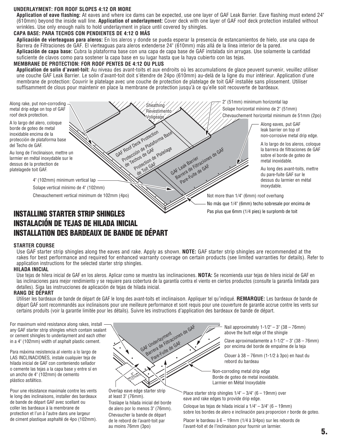#### **UNDERLAYMENT: FOR ROOF SLOPES 4:12 OR MORE**

 **Application of eave flashing:** At eaves and where ice dams can be expected, use one layer of GAF Leak Barrier. Eave flashing must extend 24" (610mm) beyond the inside wall line. **Application of underlayment:** Cover deck with one layer of GAF roof deck protection installed without wrinkles. Use only enough nails to hold underlayment in place until covered by shingles.

#### **CAPA BASE: PARA TECHOS CON PENDIENTES DE 4:12 O MÁS**

 **Aplicación de vierteaguas para aleros:** En los aleros y donde se pueda esperar la presencia de estancamientos de hielo, use una capa de Barrera de Filtraciones de GAF. El vierteaguas para aleros extenderse 24" (610mm) más allá de la línea interior de la pared. **Aplicación de capa base:** Cubra la plataforma base con una capa de capa base de GAF instalada sin arrugas. Use solamente la cantidad suficiente de clavos como para sostener la capa base en su lugar hasta que la haya cubierto con las tejas.

#### **MEMBRANE DE PROTECTION: FOR ROOF PENTES DE 4:12 OU PLUS**

**Application de solin d'avant-toit:** Au niveau des avant-toits et aux endroits où les accumulations de glace peuvent survenir, veuillez utiliser une couche GAF Leak Barrier. Le solin d'avant-toit doit s'étendre de 24po (610mm) au-delà de la ligne du mur intérieur. Application d'une membrane de protection: Couvrir le platelage avec une couche de protection de platelage de toit GAF installée sans plissement. Utiliser suffisamment de clous pour maintenir en place la membrane de protection jusqu'à ce qu'elle soit recouverte de bardeaux.



### **INSTALLING STARTER STRIP SHINGLES INSTALACIÓN DE TEJAS DE HILADA INICIAL INSTALLATION DES BARDEAUX DE BANDE DE DÉPART**

#### **STARTER COURSE**

Use GAF starter strip shingles along the eaves and rake. Apply as shown. **NOTE:** GAF starter strip shingles are recommended at the rakes for best performance and required for enhanced warranty coverage on certain products (see limited warranties for details). Refer to application instructions for the selected starter strip shingles.

#### **HILADA INICIAL**

Use tejas de hilera inicial de GAF en los aleros. Aplicar como se muestra las inclinaciones. **NOTA:** Se recomienda usar tejas de hilera inicial de GAF en las inclinaciones para mejor rendimiento y se requiere para cobertura de la garantía contra el viento en ciertos productos (consulte la garantía limitada para detalles). Siga las instrucciones de aplicación de tejas de hilada inicial.

#### **RANG DE DÉPART**

Utiliser les bardeaux de bande de départ de GAF le long des avant-toits et inclinaison. Appliquer tel qu'indiqué. **REMARQUE:** Les bardeaux de bande de départ GAF sont recommandés aux inclinaisons pour une meilleure performance et sont requis pour une couverture de garantie accrue contre les vents sur certains produits (voir la garantie limitée pour les détails). Suivre les instructions d'application des bardeaux de bande de départ.

For maximum wind resistance along rakes, install any GAF starter strip shingles which contain sealant or cement shingles to underlayment and each other in a 4" (102mm) width of asphalt plastic cement.

Para máxima resistencia al viento a lo largo de LAS INCLINACIONES, instale cualquier teja de hilada inicial de GAF con conteniendo sellador o cemente las tejas a la capa base y entre sí en un ancho de 4" (102mm) de cemento plástico asfáltico.

Pour une résistance maximale contre les vents le long des inclinaisons, installer des bardeaux de bande de départ GAF avec scellant ou coller les bardeaux à la membrane de protection et l'un à l'autre dans une largeur de ciment plastique asphalté de 4po (102mm).



Overlap eave edge starter strip at least 3" (76mm). Traslape la hilada inicial del borde

de alero por lo menos 3" (76mm). Chevaucher la bande de départ de le rebord de l'avant-toit par au moins 76mm (3po)

Nail approximately  $1-1/2$ " – 3" (38 – 76mm) above the butt edge of the shingle

Clave aproximadamente a  $1-1/2" - 3"$  (38 – 76mm)<br>por encima del borde de empalme de la teja

Clouer à 38 – 76mm (1-1/2 à 3po) en haut du rebord du bardeau

Non-corroding metal drip edge Borde de goteo de metal inoxidable. Larmier en Métal Inoxydable

Place starter strip shingles  $1/4$ " –  $3/4$ " (6 – 19mm) over eave and rake edges to provide drip edge.

Coloque las tejas de hilada inicial a  $1/4$ " –  $3/4$ " (6 – 19mm) sobre los bordes de alero e inclinación para proporcion r borde de goteo.

Placer le bardeau à 6 – 19mm (1/4 à 3/4po) sur les rebords de l'avant-toit et de l'inclinaison pour fournir un larmier.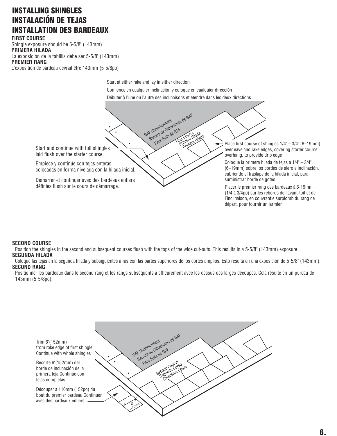### **INSTALLING SHINGLES INSTALACIÓN DE TEJAS INSTALLATION DES BARDEAUX**

**FIRST COURSE** Shingle exposure should be 5-5/8" (143mm) **PRIMERA HILADA**  La exposición de la tablilla debe ser 5-5/8" (143mm) **PREMIER RANG** L'exposition de bardeau devrait être 143mm (5-5/8po)

Start at either rake and lay in either direction

Comience en cualquier inclinación y coloque en cualquier dirección

GAF Underlayment<br>GAF Underlayment<br>Barrelays de GAF

Débuter à l'une ou l'autre des inclinaisons et étendre dans les deux directions

F. Underlayment<br>Barrera de Filtraciones de GAF<br>Pare-Fuite de GAF<br>Primera Hilada

Start and continue with full shingles laid flush over the starter course.

Empiece y continúe con tejas enteras colocadas en forma nivelada con la hilada inicial.

Démarrer et continuer avec des bardeaux entiers définies flush sur le cours de démarrage.

Place first course of shingles 1/4" – 3/4" (6–19mm) over eave and rake edges, covering starter course overhang, to provide drip edge

Coloque la primera hilada de tejas a 1/4" – 3/4" (6–19mm) sobre los bordes de alero e inclinación, cubriendo el traslape de la hilada inicial, para suministrar borde de goteo

Placer le premier rang des bardeaux à 6-19mm (1/4 à 3/4po) sur les rebords de l'avant-toit et de l'inclinaison, en couvrantle surplomb du rang de départ, pour fournir un larmier

#### **SECOND COURSE**

 Position the shingles in the second and subsequent courses flush with the tops of the wide cut-outs. This results in a 5-5/8" (143mm) exposure. **SEGUNDA HILADA**

#### Coloque las tejas en la segunda hilada y subsiguientes a ras con las partes superiores de los cortes amplios. Esto resulta en una exposición de 5-5/8" (143mm). **SECOND RANG**

Positionner les bardeaux dans le second rang et les rangs subséquents à effleurement avec les dessus des larges découpes. Cela résulte en un pureau de 143mm (5-5/8po).

6" (152mm) GAF Underlayment<br>GAF Underlayment<br>Barrera Fuite de GAF F Underlayment<br>Barrera de Filtraciones de GAF<br>Barrera de Fuite de GAF cond Course squndo Curso suxième Cours Trim 6"(152mm) from rake edge of first shingle Continue with whole shingles Recorte 6"(152mm) del borde de inclinación de la primera teja.Continúe con tejas completas Découper à 110mm (152po) du bout du premier bardeau.Continuer avec des bardeaux entiers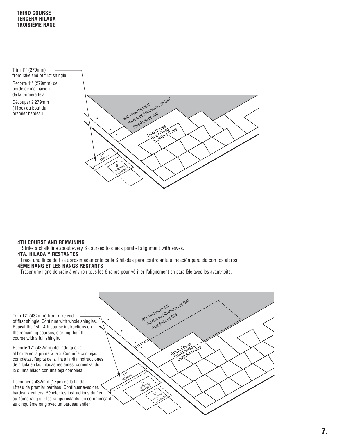**THIRD COURSE TERCERA HILADA TROISIÈME RANG** 

Trim 11" (279mm) from rake end of first shingle

Recorte 11" (279mm) del borde de inclinación de la primera teja

Découper à 279mm (11po) du bout du premier bardeau



#### **4TH COURSE AND REMAINING**

Strike a chalk line about every 6 courses to check parallel alignment with eaves.

#### **4TA. HILADA Y RESTANTES**

Trace una línea de tiza aproximadamente cada 6 hiladas para controlar la alineación paralela con los aleros. **4ÈME RANG ET LES RANGS RESTANTS** 

Tracer une ligne de craie à environ tous les 6 rangs pour vérifier l'alignement en parallèle avec les avant-toits.

Trim 17" (432mm) from rake end of first shingle. Continue with whole shingles. Repeat the 1st - 4th course instructions on the remaining courses, starting the fifth course with a full shingle.

Recorte 17" (432mm) del lado que va al borde en la primera teja. Continúe con tejas completas. Repita de la 1ra a la 4ta instrucciones de hilada en las hiladas restantes, comenzando la quinta hilada con una teja completa.

Découper à 432mm (17po) de la fin de râteau de premier bardeau. Continuer avec des bardeaux entiers. Répéter les instructions du 1er au 4ème rang sur les rangs restants, en commençant au cinquième rang avec un bardeau entier.

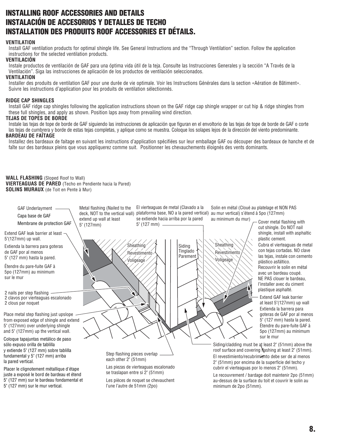### **INSTALLING ROOF ACCESSORIES AND DETAILS INSTALACIÓN DE ACCESORIOS Y DETALLES DE TECHO INSTALLATION DES PRODUITS ROOF ACCESSORIES ET DÉTAILS.**

#### **VENTILATION**

 Install GAF ventilation products for optimal shingle life. See General Instructions and the "Through Ventilation" section. Follow the application instructions for the selected ventilation products.

#### **VENTILACIÓN**

 Instale productos de ventilación de GAF para una óptima vida útil de la teja. Consulte las Instrucciones Generales y la sección "A Través de la Ventilación". Siga las instrucciones de aplicación de los productos de ventilación seleccionados.

#### **VENTILATION**

 Installer des produits de ventilation GAF pour une durée de vie optimale. Voir les Instructions Générales dans la section «Aération de Bâtiment». Suivre les instructions d'application pour les produits de ventilation sélectionnés.

#### **RIDGE CAP SHINGLES**

Install GAF ridge cap shingles following the application instructions shown on the GAF ridge cap shingle wrapper or cut hip & ridge shingles from these full shingles, and apply as shown. Position laps away from prevailing wind direction.

#### **TEJAS DE TOPES DE BORDE**

Instale las tejas de tope de borde de GAF siguiendo las instrucciones de aplicación que figuran en el envoltorio de las tejas de tope de borde de GAF o corte las tejas de cumbrera y borde de estas tejas completas, y aplique como se muestra. Coloque los solapes lejos de la dirección del viento predominante. **BARDEAU DE FAÎTAGE** 

#### Installez des bardeaux de faitage en suivant les instructions d'application spécifiées sur leur emballage GAF ou découper des bardeaux de hanche et de faîte sur des bardeaux pleins que vous appliquerez comme suit. Positionner les chevauchements éloignés des vents dominants.

**WALL FLASHING** (Sloped Roof to Wall) **VIERTEAGUAS DE PARED** (Techo en Pendiente hacia la Pared) **SOLINS MURAUX** (de Toit en Pente à Mur)

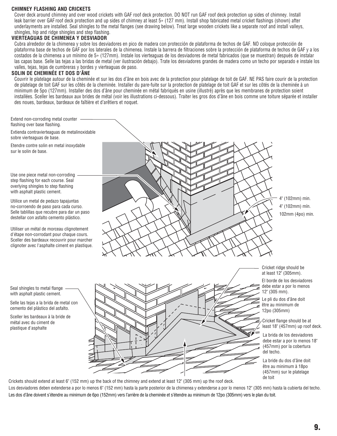#### **CHIMNEY FLASHING AND CRICKETS**

 Cover deck around chimney and over wood crickets with GAF roof deck protection. DO NOT run GAF roof deck protection up sides of chimney. Install leak barrier over GAF roof deck protection and up sides of chimney at least 5» (127 mm). Install shop fabricated metal cricket flashings (shown) after underlayments are installed. Seal shingles to the metal flanges (see drawing below). Treat large wooden crickets like a separate roof and install valleys, shingles, hip and ridge shingles and step flashing.

#### **VIERTEAGUAS DE CHIMENEA Y DESVIADOR**

 Cubra alrededor de la chimenea y sobre los desviadores en pico de madera con protección de plataforma de techos de GAF. NO coloque protección de plataforma base de techos de GAF por los laterales de la chimenea. Instale la barrera de filtraciones sobre la protección de plataforma de techos de GAF y a los costados de la chimenea a un mínimo de 5» (127mm). Instale los vierteaguas de los desviadores de metal fabricados (que se muestran) después de instalar las capas base. Selle las tejas a las bridas de metal (ver ilustración debajo). Trate los desviadores grandes de madera como un techo por separado e instale los valles, tejas, tejas de cumbreras y bordes y vierteaguas de paso.

#### **SOLIN DE CHEMINÉE ET DOS D'ÂNE**

 Couvrir le platelage autour de la cheminée et sur les dos d'âne en bois avec de la protection pour platelage de toit de GAF. NE PAS faire courir de la protection de platelage de toit GAF sur les côtés de la cheminée. Installer du pare-fuite sur la protection de platelage de toit GAF et sur les côtés de la cheminée à un minimum de 5po (127mm). Installer des dos d'âne pour cheminée en métal fabriqués en usine (illustré) après que les membranes de protection soient installées. Sceller les bardeaux aux brides de métal (voir les illustrations ci-dessous). Traiter les gros dos d'âne en bois comme une toiture séparée et installer des noues, bardeaux, bardeaux de faîtière et d'arêtiers et noquet.

Extend non-corroding metal counter flashing over base flashing.

Extienda contravierteaguas de metalinoxidable sobre vierteaguas de base.

Etendre contre solin en metal inoxydable sur le solin de base.

Use one piece metal non-corroding step flashing for each course. Seal overlying shingles to step flashing with asphalt plastic cement.

Utilice un metal de pedazo tapajuntas no-corroendo de paso para cada curso. Selle tablillas que recubre para dar un paso destellar con asfalto cemento plástico.

Utiliser un métal de morceau clignotement d'étape non-corrodant pour chaque cours. Sceller des bardeaux recouvrir pour marcher clignoter avec l'asphalte ciment en plastique.

Seal shingles to metal flange with asphalt plastic cement.

Selle las tejas a la brida de metal con cemento del plástico del asfalto.

Sceller les bardeaux à la bride de métal avec du ciment de plastique d'asphalte





4" (102mm) min. 4" (102mm) mín. 102mm (4po) min.

Cricket ridge should be at least 12" (305mm).

El borde de los desviadores debe estar a por lo menos

Le pli du dos d'âne doit être au minimum de 12po (305mm)

Cricket flange should be at least 18" (457mm) up roof deck.

La brida de los desviadores debe estar a por lo menos 18" (457mm) por la cobertura

La bride du dos d'âne doit être au minimum à 18po (457mm) sur le platelage de toit

Crickets should extend at least 6" (152 mm) up the back of the chimney and extend at least 12" (305 mm) up the roof deck. Los desviadores deben extenderse a por lo menos 6" (152 mm) hasta la parte posterior de la chimenea y extenderse a por lo menos 12" (305 mm) hasta la cubierta del techo. Les dos d'âne doivent s'étendre au minimum de 6po (152mm) vers l'arrière de la cheminée et s'étendre au minimum de 12po (305mm) vers le plan du toit.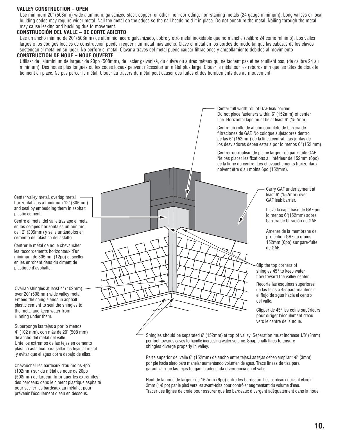#### **VALLEY CONSTRUCTION – OPEN**

Use minimum 20" (508mm) wide aluminum, galvanized steel, copper, or other non-corroding, non-staining metals (24 gauge minimum). Long valleys or local building codes may require wider metal. Nail the metal on the edges so the nail heads hold it in place. Do not puncture the metal. Nailing through the metal may cause leaking and buckling due to movement.

#### **CONSTRUCCIÓN DEL VALLE – DE CORTE ABIERTO**

Use un ancho mínimo de 20" (508mm) de aluminio, acero galvanizado, cobre y otro metal inoxidable que no manche (calibre 24 como mínimo). Los valles largos o los códigos locales de construcción pueden requerir un metal más ancho. Clave el metal en los bordes de modo tal que las cabezas de los clavos sostengan el metal en su lugar. No perfore el metal. Clavar a través del metal puede causar filtraciones y ampollamiento debidos al movimiento

#### **CONSTRUCTION DE NOUE – NOUE OUVERTE**

 Utiliser de l'aluminium de largeur de 20po (508mm), de l'acier galvanisé, du cuivre ou autres métaux qui ne tachent pas et ne rouillent pas, (de calibre 24 au minimum). Des noues plus longues ou les codes locaux peuvent nécessiter un métal plus large. Clouer le métal sur les rebords afin que les têtes de clous le tiennent en place. Ne pas percer le métal. Clouer au travers du métal peut causer des fuites et des bombements dus au mouvement.



Parte superior del valle 6" (152mm) de ancho entre tejas.Las tejas deben ampliar 1/8" (3mm) por pie hacia alero para manejar aumentando volumen de agua. Trace líneas de tiza para garantizar que las tejas tengan la adecuada divergencia en el valle.

Haut de la noue de largeur de 152mm (6po) entre les bardeaux. Les bardeaux doivent élargir 3mm (1/8 po) par le pied vers les avant-toits pour contrôler augmentant du volume d'eau. Tracer des lignes de craie pour assurer que les bardeaux divergent adéquatement dans la noue.

Center valley metal, overlap metal horizontal laps a minimum 12" (305mm) and seal by embedding them in asphalt plastic cement.

Centre el metal del valle traslape el metal en los solapes horizontales un mínimo de 12" (305mm) y selle untándolos en cemento del plástico del asfalto.

Centrer le métal de noue chevaucher les raccordements horizontaux d'un minimum de 305mm (12po) et sceller en les enrobant dans du ciment de plastique d'asphalte.

Overlap shingles at least 4" (102mm). over 20" (508mm) wide valley metal. Embed the shingle ends in asphalt plastic cement to seal the shingles to the metal and keep water from running under them.

Superponga las tejas a por lo menos 4" (102 mm), con más de 20" (508 mm) de ancho del metal del valle. Unte los extremos de las tejas en cemento plástico asfáltico para sellar las tejas al metal y evitar que el agua corra debajo de ellas.

Chevaucher les bardeaux d'au moins 4po (102mm) sur du métal de noue de 20po (508mm) de largeur. Imbriquer les extrémités des bardeaux dans le ciment plastique asphalté pour sceller les bardeaux au métal et pour prévenir l'écoulement d'eau en dessous.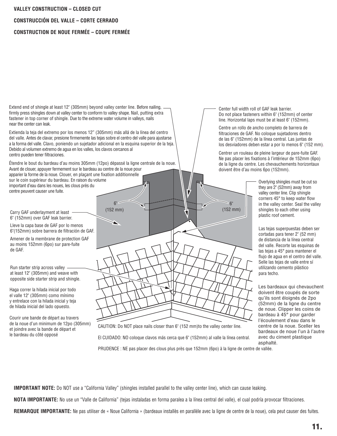#### **VALLEY CONSTRUCTION – CLOSED CUT**

**CONSTRUCCIÓN DEL VALLE – CORTE CERRADO** 

#### **CONSTRUCTION DE NOUE FERMÉE – COUPE FERMÉE**

Extend end of shingle at least 12" (305mm) beyond valley center line. Before nailing, firmly press shingles down at valley center to conform to valley shape. Nail, putting extra fastener in top corner of shingle. Due to the extreme water volume in valleys, nails near the center can leak.

Extienda la teja del extremo por los menos 12" (305mm) más allá de la línea del centro del valle. Antes de clavar, presione firmemente las tejas sobre el centro del valle para ajustarse a la forma del valle. Clavo, poniendo un sujetador adicional en la esquina superior de la teja. Debido al volumen extremo de agua en los valles, los clavos cercanos al centro pueden tener filtraciones.

Étendre le bout du bardeau d'au moins 305mm (12po) dépassé la ligne centrale de la noue. Avant de clouer, appuyer fermement sur le bardeau au centre de la noue pour apparier la forme de la noue. Clouer, en plaçant une fixation additionnelle sur le coin supérieur du bardeau. En raison du volume important d'eau dans les noues, les clous près du centre peuvent causer une fuite.

> 6" (152 mm)

Carry GAF underlayment at least -6" (152mm) over GAF leak barrier.

Lleve la capa base de GAF por lo menos 6"(152mm) sobre barrera de filtración de GAF.

Amener de la membrane de protection GAF au moins 152mm (6po) sur pare-fuite de GAF.

Run starter strip across valley at least 12" (305mm) and weave with opposite side starter strip and shingle.

Haga correr la hilada inicial por todo el valle 12" (305mm) como mínimo y entrelace con la hilada inicial y teja de hilada inicial del lado opuesto.

Courir une bande de départ au travers de la noue d'un minimum de 12po (305mm) et joindre avec la bande de départ et le bardeau du côté opposé

Center full width roll of GAF leak barrier. Do not place fasteners within 6" (152mm) of center line. Horizontal laps must be at least 6" (152mm).

Centre un rollo de ancho completo de barrera de filtraciones de GAF. No coloque sujetadores dentro de las 6" (152mm) de la línea central. Las juntas de los desviadores deben estar a por lo menos 6" (152 mm).

Centrer un rouleau de pleine largeur de pare-fuite GAF. Ne pas placer les fixations à l'intérieur de 152mm (6po) de la ligne du centre. Les chevauchements horizontaux doivent être d'au moins 6po (152mm).

 $\frac{6}{152}$  mm)

Overlying shingles must be cut so they are 2" (52mm) away from valley center line. Clip shingle corners 45° to keep water flow in the valley center. Seal the valley shingles to each other using plastic roof cement.

Las tejas superpuestas deben ser cortadas para tener 2" (52 mm) de distancia de la línea central del valle. Recorte las esquinas de las tejas a 45° para mantener el flujo de agua en el centro del valle. Selle las tejas de valle entre sí utilizando cemento plástico para techo.

Les bardeaux qui chevauchent doivent être coupés de sorte qu'ils sont éloignés de 2po (52mm) de la ligne du centre de noue. Clipper les coins de bardeau à 45° pour garder l'écoulement d'eau dans le centre de la noue. Sceller les bardeaux de noue l'un à l'autre avec du ciment plastique asphalté.

CAUTION: Do NOT place nails closer than 6" (152 mm)to the valley center line. El CUIDADO: NO coloque clavos más cerca que 6" (152mm) al valle la línea central. PRUDENCE : NE pas placer des clous plus près que 152mm (6po) à la ligne de centre de vallée.

**IMPORTANT NOTE:** Do NOT use a "California Valley" (shingles installed parallel to the valley center line), which can cause leaking.

**NOTA IMPORTANTE:** No use un "Valle de California" (tejas instaladas en forma paralea a la línea central del valle), el cual podría provocar filtraciones.

REMARQUE IMPORTANTE: Ne pas utiliser de « Noue California » (bardeaux installès en paralléle avec la ligne de centre de la noue), cela peut causer des fuites.